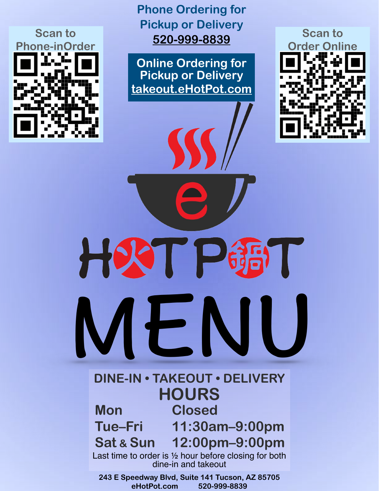

**Phone Ordering for Pickup or Delivery [520-999-8839](tel:520-999-8839)**

**Online Ordering for Pickup or Delivery [takeout.eHotPot.com](http://takeout.eHotPot.com)**



HOC 63 MENU

### **DINE-IN • TAKEOUT • DELIVERY HOURS Mon Closed**

 **Tue–Fri 11:30am–9:00pm Sat & Sun 12:00pm–9:00pm**

Last time to order is ½ hour before closing for both dine-in and takeout

**243 E Speedway Blvd, Suite 141 Tucson, AZ 85705 eHotPot.com 520-999-8839**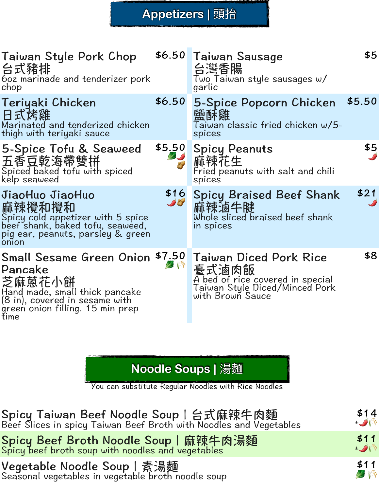#### **Appetizers |** 頭抬

| Taiwan Style Pork Chop<br>台式豬排<br>60z marinade and tenderizer pork<br>chop                                                                                   |                     | \$6.50 Taiwan Sausage<br>台灣香腸<br>Two Taiwan style sausages $\omega/$<br>garlic                                            | \$5    |
|--------------------------------------------------------------------------------------------------------------------------------------------------------------|---------------------|---------------------------------------------------------------------------------------------------------------------------|--------|
| Teriyaki Chicken<br>日式烤雞<br>Marinated and tenderized chicken<br>thigh with teriyaki sauce                                                                    | \$6.50              | 5-Spice Popcorn Chicken<br>鹽酥雞<br>Taiwan classic fried chicken w/5-<br>spices                                             | \$5.50 |
| 5-Spice Tofu & Seaweed<br>五香豆乾海帶雙拼<br>Spiced baked tofu with spiced<br>kelp seaweed                                                                          | \$5.50              | <b>Spicy Peanuts</b><br>麻辣花生<br>Fried peanuts with salt and chili<br>spices                                               | \$5    |
| JiaoHuo JiaoHuo<br>麻辣攪和攪和<br>Spicy cold appetizer with 5 spice<br>beef shank, baked tofu, seaweed,<br>pig ear, peanuts, parsley & green<br>onion             | \$16<br><b>Self</b> | <b>Spicy Braised Beef Shank</b><br>麻辣滷牛腱<br>Whole sliced braised beef shank<br>in spices                                  | \$21   |
| <b>Small Sesame Green Onion</b><br>Pancake<br>芝麻蒽花小餅<br>Hand made, small thick pancake<br>(8 in), covered in sesame with<br>green onion filling. 15 min prep | \$7.50<br>AN        | Taiwan Diced Pork Rice<br>臺式滷肉飯<br>A bed of rice covered in special<br>Taiwan Style Diced/Minced Pork<br>with Brown Sauce | \$8    |

**Noodle Soups |** 湯麵

You can substitute Regular Noodles with Rice Noodles

\$14 ±Un

\$11  $\pm$   $\sqrt{N}$ 

\$11 2 R

Spicy Taiwan Beef Noodle Soup | 台式麻辣牛肉麵<br>Beef Slices in spicy Taiwan Beef Broth with Noodles and Vegetables

Spicy Beef Broth Noodle Soup | 麻辣牛肉湯麵 Spicy beef broth soup with noodles and vegetables

Vegetable Noodle Soup | 素湯麵 Seasonal vegetables in vegetable broth noodle soup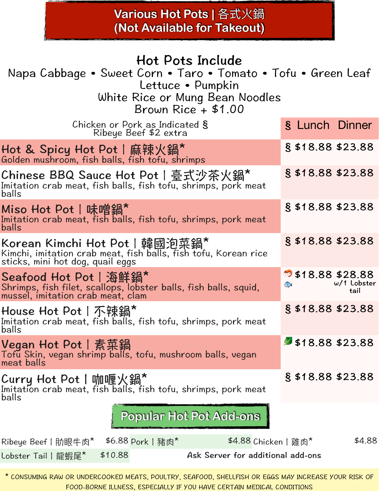## **Various Hot Pots |** 各式火鍋 **(Not Available for Takeout)**

# Hot Pots Include

Napa Cabbage • Sweet Corn • Taro • Tomato • Tofu • Green Leaf Lettuce • Pumpkin

White Rice or Mung Bean Noodles Brown Rice + \$1.00

| OWII INUC                                                                                                                             |           |                     |                       |        |
|---------------------------------------------------------------------------------------------------------------------------------------|-----------|---------------------|-----------------------|--------|
| Chicken or Pork as Indicated §<br>Ribeye Beef \$2 extra                                                                               |           | § Lunch Dinner      |                       |        |
| Hot & Spicy Hot Pot   麻辣火鍋*<br>Golden mushroom, fish balls, fish tofu, shrimps                                                        |           | $§$ \$18.88 \$23.88 |                       |        |
| Chinese BBQ Sauce Hot Pot   臺式沙茶火鍋*<br>Imitation crab meat, fish balls, fish tofu, shrimps, pork meat<br>balls                        |           | $§$ \$18.88 \$23.88 |                       |        |
| Miso Hot Pot   味噌鍋*<br>Imitation crab meat, fish balls, fish tofu, shrimps, pork meat<br>balls                                        |           | $§$ \$18.88 \$23.88 |                       |        |
| Korean Kimchi Hot Pot   韓國泡菜鍋*<br>Kimchi, imitation crab meat, fish balls, fish tofu, Korean rice<br>sticks, mini hot dog, quail eggs |           | § \$18.88 \$23.88   |                       |        |
| Seafood Hot Pot   海鮮鍋*<br>Shrimps, fish filet, scallops, lobster balls, fish balls, squid,<br>mussel, imitation crab meat, clam       | $\bullet$ | 518.88 \$28.88      | $w/1$ Lobster<br>tail |        |
| House Hot Pot   不辣鍋*<br>Imitation crab meat, fish balls, fish tofu, shrimps, pork meat<br>balls                                       |           | $§$ \$18.88 \$23.88 |                       |        |
| Vegan Hot Pot丨素菜鍋<br>Tofu Skin, vegan shrimp balls, tofu, mushroom balls, vegan<br>meat balls                                         |           | \$18.88\$323.88     |                       |        |
| Curry Hot Pot丨咖喱火鍋*<br>Imitation crab meat, fish balls, fish tofu, shrimps, pork meat<br>balls                                        |           | $§$ \$18.88 \$23.88 |                       |        |
| <b>Popular Hot Pot Add-ons</b>                                                                                                        |           |                     |                       |        |
| \$4.88 Chicken   雞肉*<br>\$6.88 Pork   豬肉*<br>Ribeye Beef   肋眼牛肉*                                                                      |           |                     |                       | \$4.88 |
| \$10.88<br>Ask Server for additional add-ons<br>Lobster Tail   龍蝦尾*                                                                   |           |                     |                       |        |

\* CONSUMING RAW OR UNDERCOOKED MEATS, POULTRY, SEAFOOD, SHELLFISH OR EGGS MAY INCREASE YOUR RISK OF FOOD-BORNE ILLNESS, ESPECIALLY IF YOU HAVE CERTAIN MEDICAL CONDITIONS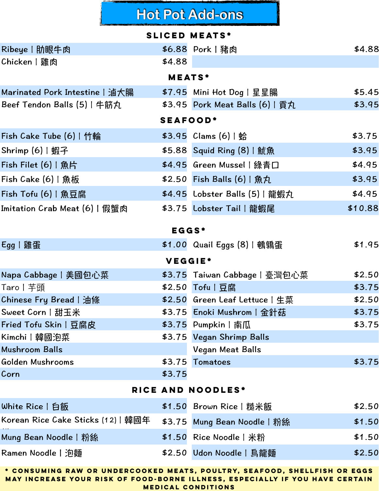## **Hot Pot Add-ons**

|                                                   |         | <b>SLICED MEATS*</b>                              |         |  |  |  |  |  |
|---------------------------------------------------|---------|---------------------------------------------------|---------|--|--|--|--|--|
| Ribeye   肋眼牛肉                                     |         | \$6.88 Pork   豬肉                                  | \$4.88  |  |  |  |  |  |
| Chicken   雞肉                                      | \$4.88  |                                                   |         |  |  |  |  |  |
| <b>MEATS*</b>                                     |         |                                                   |         |  |  |  |  |  |
| Marinated Pork Intestine   滷大腸                    |         | \$7.95 Mini Hot Dog   星星腸                         | \$5.45  |  |  |  |  |  |
| Beef Tendon Balls (5)   牛筋丸                       |         | \$3.95 Pork Meat Balls (6)   貢丸                   | \$3.95  |  |  |  |  |  |
| <b>SEAFOOD*</b>                                   |         |                                                   |         |  |  |  |  |  |
| Fish Cake Tube $(6)$   竹輪                         |         | \$3.95 Clams (6)   蛤                              | \$3.75  |  |  |  |  |  |
| Shrimp (6)   蝦子                                   |         | \$5.88 Squid Ring (8)   魷魚                        | \$3.95  |  |  |  |  |  |
| Fish Filet (6)   魚片                               |         | \$4.95 Green Mussel   綠青口                         | \$4.95  |  |  |  |  |  |
| Fish $\textsf{Cache}\left(\textsf{6}\right)$   魚板 |         | \$2.50 Fish Balls (6)   魚丸                        | \$3.95  |  |  |  |  |  |
| Fish Tofu (6)   魚豆腐                               |         | \$4.95 Lobster Balls (5)   龍蝦丸                    | \$4.95  |  |  |  |  |  |
| Imitation Crab Meat (6)   假蟹肉                     |         | \$3.75 Lobster Tail   龍蝦尾                         | \$10.88 |  |  |  |  |  |
|                                                   | $EGGS*$ |                                                   |         |  |  |  |  |  |
| Egg   雞蛋                                          |         | \$1.00 Quail Eggs (8)   鵪鶉蛋                       | \$1.95  |  |  |  |  |  |
|                                                   | VEGGIE* |                                                   |         |  |  |  |  |  |
| Napa Cabbage   美國包心菜                              |         |                                                   | \$2.50  |  |  |  |  |  |
| Taro丨芋頭                                           |         | \$3.75 Taiwan Cabbage   臺灣包心菜<br>\$2.50 Tofu   豆腐 | \$3.75  |  |  |  |  |  |
| Chinese Fry Bread   油條                            |         | \$2.50 Green Leaf Lettuce   生菜                    | \$2.50  |  |  |  |  |  |
| Sweet Corn   甜玉米                                  |         | \$3.75 Enoki Mushrom   金針菇                        | \$3.75  |  |  |  |  |  |
| Fried Tofu Skin   豆腐皮                             |         | \$3.75 Pumpkin   南瓜                               | \$3.75  |  |  |  |  |  |
| Kimchi   韓國泡菜                                     |         | \$3.75 Vegan Shrimp Balls                         |         |  |  |  |  |  |
| <b>Mushroom Balls</b>                             |         | Vegan Meat Balls                                  |         |  |  |  |  |  |
| Golden Mushrooms                                  | \$3.75  | Tomatoes                                          | \$3.75  |  |  |  |  |  |
| Corn                                              | \$3.75  |                                                   |         |  |  |  |  |  |
|                                                   |         | RICE AND NOODLES*                                 |         |  |  |  |  |  |
| White Rice   白飯                                   |         | \$1.50 Brown Rice   糙米飯                           | \$2.50  |  |  |  |  |  |
| Korean Rice Cake Sticks (12)   韓國年                |         | \$3.75 Mung Bean Noodle   粉絲                      | \$1.50  |  |  |  |  |  |
| Mung Bean Noodle   粉絲                             |         | \$1.50 Rice Noodle   米粉                           | \$1.50  |  |  |  |  |  |
| Ramen Noodle   泡麵                                 |         | \$2.50 Udon Noodle   鳥龍麵                          | \$2.50  |  |  |  |  |  |
|                                                   |         |                                                   |         |  |  |  |  |  |

**\* CONSUMING RAW OR UNDERCOOKED MEATS, POULTRY, SEAFOOD, SHELLFISH OR EGGS MAY INCREASE YOUR RISK OF FOOD-BORNE ILLNESS, ESPECIALLY IF YOU HAVE CERTAIN MEDICAL CONDITIONS**